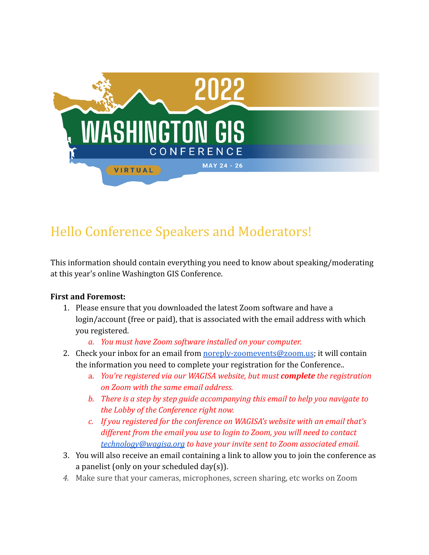

# Hello Conference Speakers and Moderators!

This information should contain everything you need to know about speaking/moderating at this year's online Washington GIS Conference.

## **First and Foremost:**

- 1. Please ensure that you downloaded the latest Zoom software and have a login/account (free or paid), that is associated with the email address with which you registered.
	- *a. You must have Zoom software installed on your computer.*
- 2. Check your inbox for an email from [noreply-zoomevents@zoom.us;](mailto:noreply-zoomevents@zoom.us) it will contain the information you need to complete your registration for the Conference..
	- a. *You're registered via our WAGISA website, but must complete the registration on Zoom with the same email address.*
	- *b. There is a step by step guide accompanying this email to help you navigate to the Lobby of the Conference right now.*
	- *c. If you registered for the conference on WAGISA's website with an email that's different from the email you use to login to Zoom, you will need to contact [technology@wagisa.org](mailto:technology@wagisa.org) to have your invite sent to Zoom associated email.*
- 3. You will also receive an email containing a link to allow you to join the conference as a panelist (only on your scheduled day(s)).
- *4.* Make sure that your cameras, microphones, screen sharing, etc works on Zoom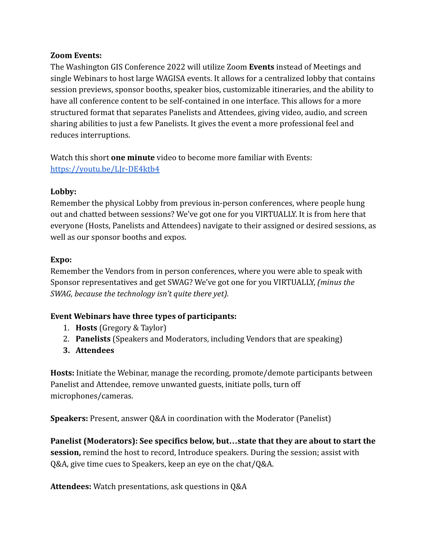### **Zoom Events:**

The Washington GIS Conference 2022 will utilize Zoom **Events** instead of Meetings and single Webinars to host large WAGISA events. It allows for a centralized lobby that contains session previews, sponsor booths, speaker bios, customizable itineraries, and the ability to have all conference content to be self-contained in one interface. This allows for a more structured format that separates Panelists and Attendees, giving video, audio, and screen sharing abilities to just a few Panelists. It gives the event a more professional feel and reduces interruptions.

Watch this short **one minute** video to become more familiar with Events: <https://youtu.be/LJr-DE4ktb4>

### **Lobby:**

Remember the physical Lobby from previous in-person conferences, where people hung out and chatted between sessions? We've got one for you VIRTUALLY. It is from here that everyone (Hosts, Panelists and Attendees) navigate to their assigned or desired sessions, as well as our sponsor booths and expos.

### **Expo:**

Remember the Vendors from in person conferences, where you were able to speak with Sponsor representatives and get SWAG? We've got one for you VIRTUALLY, *(minus the SWAG, because the technology isn't quite there yet).*

## **Event Webinars have three types of participants:**

- 1. **Hosts** (Gregory & Taylor)
- 2. **Panelists** (Speakers and Moderators, including Vendors that are speaking)
- **3. Attendees**

**Hosts:** Initiate the Webinar, manage the recording, promote/demote participants between Panelist and Attendee, remove unwanted guests, initiate polls, turn off microphones/cameras.

**Speakers:** Present, answer Q&A in coordination with the Moderator (Panelist)

**Panelist (Moderators): See specifics below, but…state that they are about to start the session,** remind the host to record, Introduce speakers. During the session; assist with Q&A, give time cues to Speakers, keep an eye on the chat/Q&A.

**Attendees:** Watch presentations, ask questions in Q&A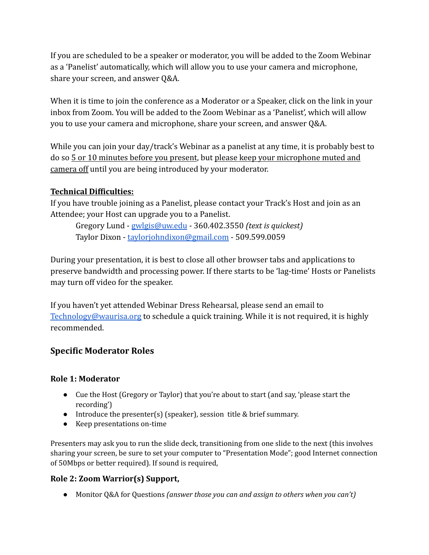If you are scheduled to be a speaker or moderator, you will be added to the Zoom Webinar as a 'Panelist' automatically, which will allow you to use your camera and microphone, share your screen, and answer Q&A.

When it is time to join the conference as a Moderator or a Speaker, click on the link in your inbox from Zoom. You will be added to the Zoom Webinar as a 'Panelist', which will allow you to use your camera and microphone, share your screen, and answer Q&A.

While you can join your day/track's Webinar as a panelist at any time, it is probably best to do so 5 or 10 minutes before you present, but please keep your microphone muted and camera off until you are being introduced by your moderator.

## **Technical Difficulties:**

If you have trouble joining as a Panelist, please contact your Track's Host and join as an Attendee; your Host can upgrade you to a Panelist.

Gregory Lund - [gwlgis@uw.edu](mailto:gwlgis@uw.edu) - 360.402.3550 *(text is quickest)* Taylor Dixon - [taylorjohndixon@gmail.com](mailto:taylorjohndixon@gmail.com) - 509.599.0059

During your presentation, it is best to close all other browser tabs and applications to preserve bandwidth and processing power. If there starts to be 'lag-time' Hosts or Panelists may turn off video for the speaker.

If you haven't yet attended Webinar Dress Rehearsal, please send an email to [Technology@waurisa.org](mailto:Technology@waurisa.org) to schedule a quick training. While it is not required, it is highly recommended.

# **Specific Moderator Roles**

## **Role 1: Moderator**

- Cue the Host (Gregory or Taylor) that you're about to start (and say, 'please start the recording')
- Introduce the presenter(s) (speaker), session title & brief summary.
- Keep presentations on-time

Presenters may ask you to run the slide deck, transitioning from one slide to the next (this involves sharing your screen, be sure to set your computer to "Presentation Mode"; good Internet connection of 50Mbps or better required). If sound is required,

## **Role 2: Zoom Warrior(s) Support,**

● Monitor Q&A for Questions *(answer those you can and assign to others when you can't)*